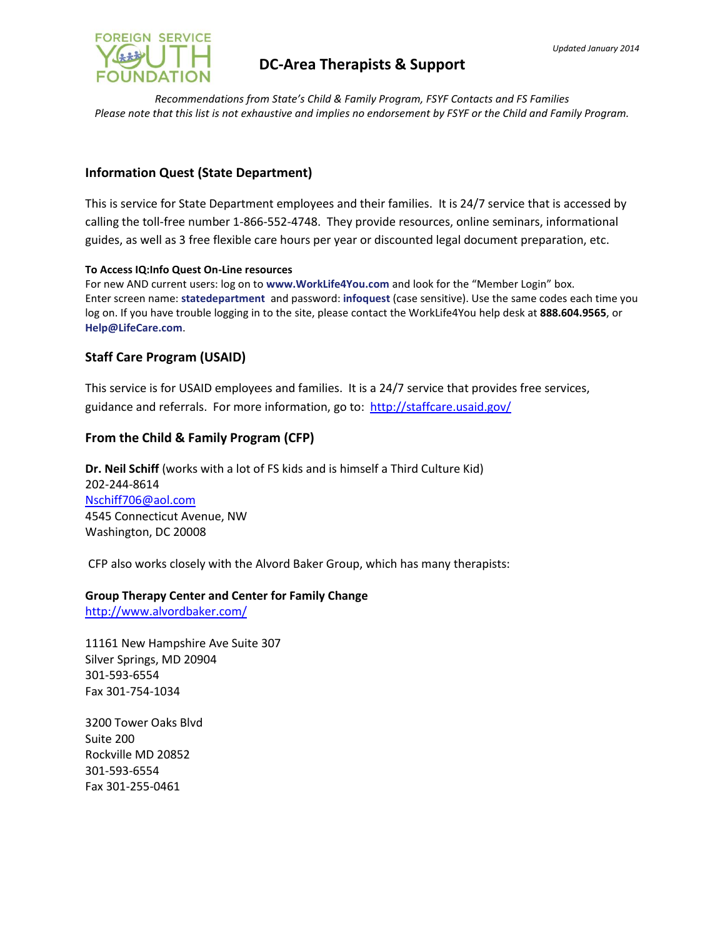

# **DC-Area Therapists & Support**

*Recommendations from State's Child & Family Program, FSYF Contacts and FS Families Please note that this list is not exhaustive and implies no endorsement by FSYF or the Child and Family Program.*

# **Information Quest (State Department)**

This is service for State Department employees and their families. It is 24/7 service that is accessed by calling the toll-free number 1-866-552-4748. They provide resources, online seminars, informational guides, as well as 3 free flexible care hours per year or discounted legal document preparation, etc.

#### **To Access IQ:Info Quest On-Line resources**

For new AND current users: log on to **www.WorkLife4You.com** and look for the "Member Login" box. Enter screen name: **statedepartment** and password: **infoquest** (case sensitive). Use the same codes each time you log on. If you have trouble logging in to the site, please contact the WorkLife4You help desk at **888.604.9565**, or **Help@LifeCare.com**.

# **Staff Care Program (USAID)**

This service is for USAID employees and families. It is a 24/7 service that provides free services, guidance and referrals. For more information, go to:<http://staffcare.usaid.gov/>

## **From the Child & Family Program (CFP)**

**Dr. Neil Schiff** (works with a lot of FS kids and is himself a Third Culture Kid) 202-244-8614 [Nschiff706@aol.com](mailto:Nschiff706@aol.com) 4545 Connecticut Avenue, NW Washington, DC 20008

CFP also works closely with the Alvord Baker Group, which has many therapists:

#### **Group Therapy Center and Center for Family Change**

<http://www.alvordbaker.com/>

11161 New Hampshire Ave Suite 307 Silver Springs, MD 20904 301-593-6554 Fax 301-754-1034

3200 Tower Oaks Blvd Suite 200 Rockville MD 20852 301-593-6554 Fax 301-255-0461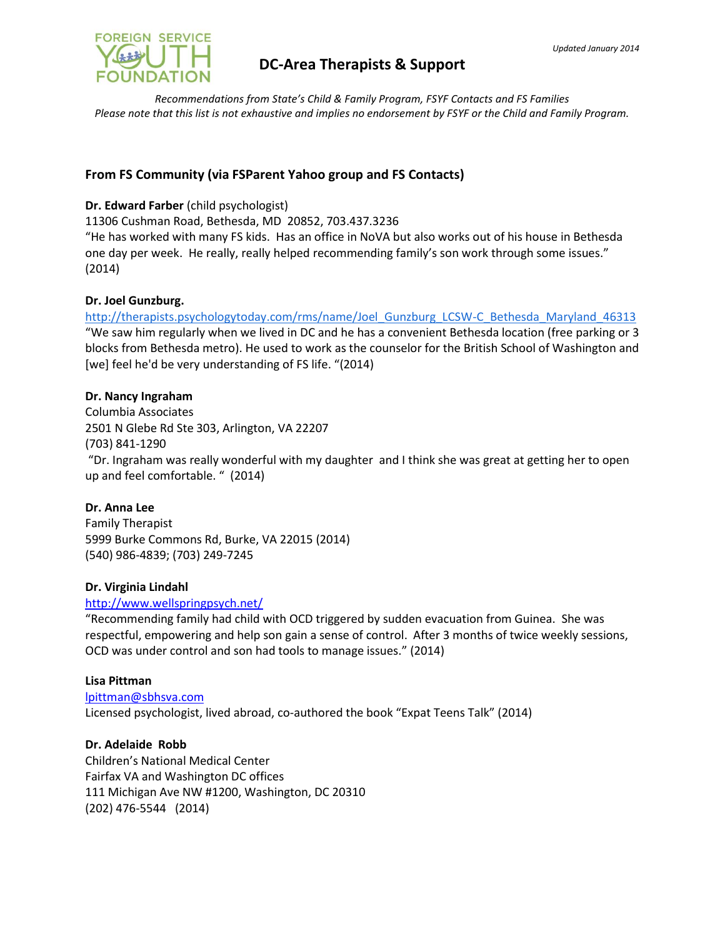

# **DC-Area Therapists & Support**

*Recommendations from State's Child & Family Program, FSYF Contacts and FS Families Please note that this list is not exhaustive and implies no endorsement by FSYF or the Child and Family Program.*

# **From FS Community (via FSParent Yahoo group and FS Contacts)**

## **Dr. Edward Farber** (child psychologist)

11306 Cushman Road, Bethesda, MD 20852, 703.437.3236

"He has worked with many FS kids. Has an office in NoVA but also works out of his house in Bethesda one day per week. He really, really helped recommending family's son work through some issues." (2014)

### **Dr. Joel Gunzburg.**

[http://therapists.psychologytoday.com/rms/name/Joel\\_Gunzburg\\_LCSW-C\\_Bethesda\\_Maryland\\_46313](http://therapists.psychologytoday.com/rms/name/Joel_Gunzburg_LCSW-C_Bethesda_Maryland_46313) "We saw him regularly when we lived in DC and he has a convenient Bethesda location (free parking or 3 blocks from Bethesda metro). He used to work as the counselor for the British School of Washington and [we] feel he'd be very understanding of FS life. "(2014)

### **Dr. Nancy Ingraham**

Columbia Associates 2501 N Glebe Rd Ste 303, Arlington, VA 22207 (703) 841-1290 "Dr. Ingraham was really wonderful with my daughter and I think she was great at getting her to open up and feel comfortable. " (2014)

## **Dr. Anna Lee**

Family Therapist 5999 Burke Commons Rd, Burke, VA 22015 (2014) (540) 986-4839; (703) 249-7245

#### **Dr. Virginia Lindahl**

#### <http://www.wellspringpsych.net/>

"Recommending family had child with OCD triggered by sudden evacuation from Guinea. She was respectful, empowering and help son gain a sense of control. After 3 months of twice weekly sessions, OCD was under control and son had tools to manage issues." (2014)

#### **Lisa Pittman**

[lpittman@sbhsva.com](mailto:lpittman@sbhsva.com) Licensed psychologist, lived abroad, co-authored the book "Expat Teens Talk" (2014)

### **Dr. Adelaide Robb**

Children's National Medical Center Fairfax VA and Washington DC offices 111 Michigan Ave NW #1200, Washington, DC 20310 (202) 476-5544 (2014)